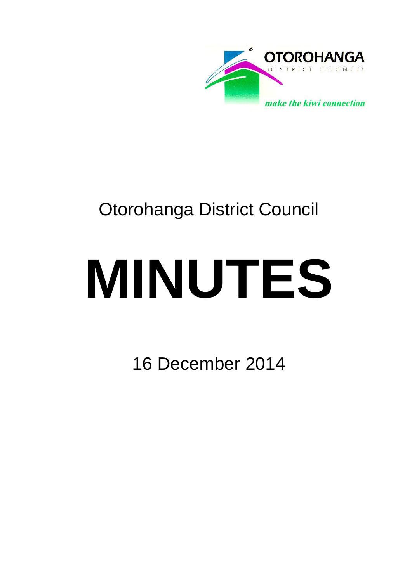

# Otorohanga District Council

# **MINUTES**

16 December 2014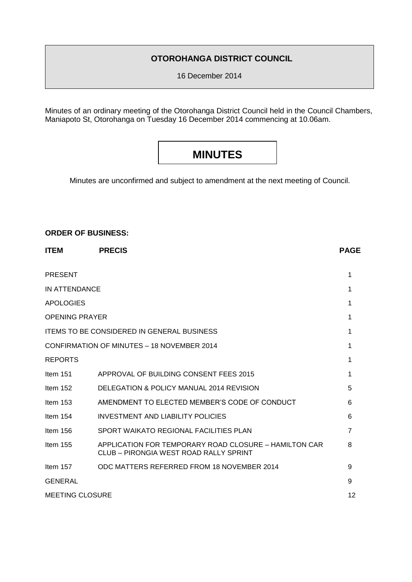# **OTOROHANGA DISTRICT COUNCIL**

16 December 2014

Minutes of an ordinary meeting of the Otorohanga District Council held in the Council Chambers, Maniapoto St, Otorohanga on Tuesday 16 December 2014 commencing at 10.06am.

# **MINUTES**

Minutes are unconfirmed and subject to amendment at the next meeting of Council.

# **ORDER OF BUSINESS:**

| <b>ITEM</b>            | <b>PRECIS</b>                                                                                   | <b>PAGE</b>    |
|------------------------|-------------------------------------------------------------------------------------------------|----------------|
| <b>PRESENT</b>         |                                                                                                 | 1              |
| IN ATTENDANCE          |                                                                                                 | 1              |
| <b>APOLOGIES</b>       |                                                                                                 | 1              |
| <b>OPENING PRAYER</b>  |                                                                                                 | 1              |
|                        | <b>ITEMS TO BE CONSIDERED IN GENERAL BUSINESS</b>                                               | 1              |
|                        | CONFIRMATION OF MINUTES - 18 NOVEMBER 2014                                                      | 1              |
| <b>REPORTS</b>         |                                                                                                 | 1              |
| Item $151$             | APPROVAL OF BUILDING CONSENT FEES 2015                                                          | 1              |
| Item $152$             | DELEGATION & POLICY MANUAL 2014 REVISION                                                        | 5              |
| Item $153$             | AMENDMENT TO ELECTED MEMBER'S CODE OF CONDUCT                                                   | 6              |
| Item $154$             | <b>INVESTMENT AND LIABILITY POLICIES</b>                                                        | 6              |
| Item $156$             | SPORT WAIKATO REGIONAL FACILITIES PLAN                                                          | $\overline{7}$ |
| Item $155$             | APPLICATION FOR TEMPORARY ROAD CLOSURE - HAMILTON CAR<br>CLUB – PIRONGIA WEST ROAD RALLY SPRINT | 8              |
| Item 157               | ODC MATTERS REFERRED FROM 18 NOVEMBER 2014                                                      | 9              |
| <b>GENERAL</b>         |                                                                                                 | 9              |
| <b>MEETING CLOSURE</b> |                                                                                                 | 12             |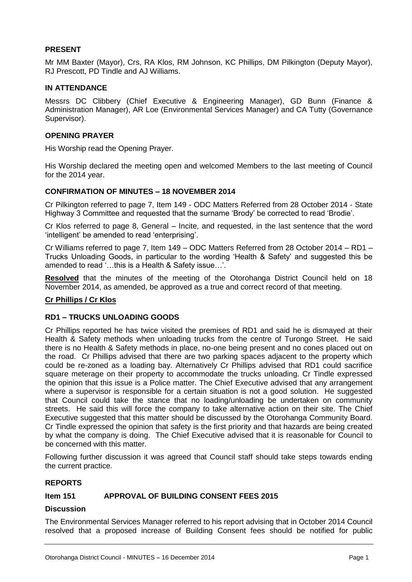# **PRESENT**

Mr MM Baxter (Mayor), Crs, RA Klos, RM Johnson, KC Phillips, DM Pilkington (Deputy Mayor), RJ Prescott, PD Tindle and AJ Williams.

# **IN ATTENDANCE**

Messrs DC Clibbery (Chief Executive & Engineering Manager), GD Bunn (Finance & Administration Manager), AR Loe (Environmental Services Manager) and CA Tutty (Governance Supervisor).

# **OPENING PRAYER**

His Worship read the Opening Prayer.

His Worship declared the meeting open and welcomed Members to the last meeting of Council for the 2014 year.

# **CONFIRMATION OF MINUTES – 18 NOVEMBER 2014**

Cr Pilkington referred to page 7, Item 149 - ODC Matters Referred from 28 October 2014 - State Highway 3 Committee and requested that the surname 'Brody' be corrected to read 'Brodie'.

Cr Klos referred to page 8, General – Incite, and requested, in the last sentence that the word 'intelligent' be amended to read 'enterprising'.

Cr Williams referred to page 7, Item 149 – ODC Matters Referred from 28 October 2014 – RD1 – Trucks Unloading Goods, in particular to the wording 'Health & Safety' and suggested this be amended to read '…this is a Health & Safety issue…'.

**Resolved** that the minutes of the meeting of the Otorohanga District Council held on 18 November 2014, as amended, be approved as a true and correct record of that meeting.

# **Cr Phillips / Cr Klos**

# **RD1 – TRUCKS UNLOADING GOODS**

Cr Phillips reported he has twice visited the premises of RD1 and said he is dismayed at their Health & Safety methods when unloading trucks from the centre of Turongo Street. He said there is no Health & Safety methods in place, no-one being present and no cones placed out on the road. Cr Phillips advised that there are two parking spaces adjacent to the property which could be re-zoned as a loading bay. Alternatively Cr Phillips advised that RD1 could sacrifice square meterage on their property to accommodate the trucks unloading. Cr Tindle expressed the opinion that this issue is a Police matter. The Chief Executive advised that any arrangement where a supervisor is responsible for a certain situation is not a good solution. He suggested that Council could take the stance that no loading/unloading be undertaken on community streets. He said this will force the company to take alternative action on their site. The Chief Executive suggested that this matter should be discussed by the Otorohanga Community Board. Cr Tindle expressed the opinion that safety is the first priority and that hazards are being created by what the company is doing. The Chief Executive advised that it is reasonable for Council to be concerned with this matter.

Following further discussion it was agreed that Council staff should take steps towards ending the current practice.

# **REPORTS**

# **Item 151 APPROVAL OF BUILDING CONSENT FEES 2015**

# **Discussion**

The Environmental Services Manager referred to his report advising that in October 2014 Council resolved that a proposed increase of Building Consent fees should be notified for public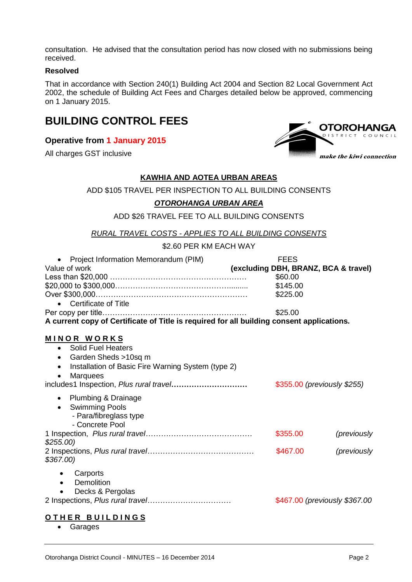consultation. He advised that the consultation period has now closed with no submissions being received.

#### **Resolved**

That in accordance with Section 240(1) Building Act 2004 and Section 82 Local Government Act 2002, the schedule of Building Act Fees and Charges detailed below be approved, commencing on 1 January 2015.

# **BUILDING CONTROL FEES**

# **Operative from 1 January 2015**

All charges GST inclusive



# **KAWHIA AND AOTEA URBAN AREAS**

ADD \$105 TRAVEL PER INSPECTION TO ALL BUILDING CONSENTS

# *OTOROHANGA URBAN AREA*

ADD \$26 TRAVEL FEE TO ALL BUILDING CONSENTS

*RURAL TRAVEL COSTS - APPLIES TO ALL BUILDING CONSENTS*

\$2.60 PER KM EACH WAY

| Project Information Memorandum (PIM)<br>$\bullet$                                         | <b>FEES</b>                          |             |  |
|-------------------------------------------------------------------------------------------|--------------------------------------|-------------|--|
| Value of work                                                                             | (excluding DBH, BRANZ, BCA & travel) |             |  |
|                                                                                           | \$60.00                              |             |  |
|                                                                                           | \$145.00                             |             |  |
|                                                                                           | \$225.00                             |             |  |
| Certificate of Title                                                                      |                                      |             |  |
|                                                                                           | \$25.00                              |             |  |
| A current copy of Certificate of Title is required for all building consent applications. |                                      |             |  |
|                                                                                           |                                      |             |  |
| MINOR WORKS                                                                               |                                      |             |  |
| • Solid Fuel Heaters                                                                      |                                      |             |  |
| Garden Sheds >10sq m<br>$\bullet$                                                         |                                      |             |  |
| Installation of Basic Fire Warning System (type 2)<br>$\bullet$                           |                                      |             |  |
| <b>Marquees</b>                                                                           |                                      |             |  |
|                                                                                           | \$355.00 (previously \$255)          |             |  |
|                                                                                           |                                      |             |  |
| Plumbing & Drainage<br>$\bullet$                                                          |                                      |             |  |
| <b>Swimming Pools</b><br>$\bullet$                                                        |                                      |             |  |
| - Para/fibreglass type                                                                    |                                      |             |  |
| - Concrete Pool                                                                           |                                      |             |  |
|                                                                                           | \$355.00                             | (previously |  |
| $$255.00$ )                                                                               |                                      |             |  |
|                                                                                           | \$467.00                             | (previously |  |
| $$367.00$ )                                                                               |                                      |             |  |
|                                                                                           |                                      |             |  |
| Carports                                                                                  |                                      |             |  |
| Demolition<br>$\bullet$                                                                   |                                      |             |  |
| Decks & Pergolas                                                                          |                                      |             |  |
|                                                                                           | \$467.00 (previously \$367.00)       |             |  |
|                                                                                           |                                      |             |  |

# **O T H E R B U I L D I N G S**

Garages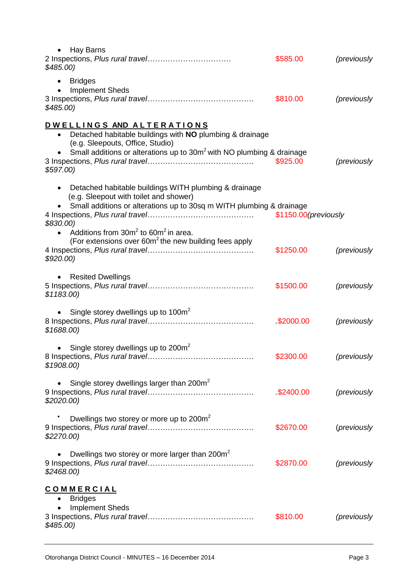| <b>Hay Barns</b><br>$\bullet$<br>$$485.00$ )                                                                                                                                                     | \$585.00              | (previously |
|--------------------------------------------------------------------------------------------------------------------------------------------------------------------------------------------------|-----------------------|-------------|
| <b>Bridges</b><br><b>Implement Sheds</b><br>$$485.00$ )                                                                                                                                          | \$810.00              | (previously |
| DWELLINGS AND ALTERATIONS                                                                                                                                                                        |                       |             |
| Detached habitable buildings with NO plumbing & drainage<br>(e.g. Sleepouts, Office, Studio)<br>Small additions or alterations up to 30m <sup>2</sup> with NO plumbing & drainage<br>$$597.00$ ) | \$925.00              | (previously |
| Detached habitable buildings WITH plumbing & drainage<br>$\bullet$                                                                                                                               |                       |             |
| (e.g. Sleepout with toilet and shower)<br>Small additions or alterations up to 30sq m WITH plumbing & drainage<br>\$830.00)                                                                      | \$1150.00 (previously |             |
| Additions from $30m^2$ to $60m^2$ in area.<br>(For extensions over 60m <sup>2</sup> the new building fees apply<br>$$920.00$ )                                                                   | \$1250.00             | (previously |
| <b>Resited Dwellings</b><br>\$1183.00                                                                                                                                                            | \$1500.00             | (previously |
| Single storey dwellings up to 100m <sup>2</sup><br>$\bullet$<br>\$1688.00                                                                                                                        | \$2000.00             | (previously |
| • Single storey dwellings up to $200m^2$<br>\$1908.00                                                                                                                                            | \$2300.00 (previously |             |
| Single storey dwellings larger than 200m <sup>2</sup><br>\$2020.00                                                                                                                               | \$2400.00             | (previously |
| Dwellings two storey or more up to 200m <sup>2</sup><br>\$2270.00                                                                                                                                | \$2670.00             | (previously |
| Dwellings two storey or more larger than 200m <sup>2</sup><br>\$2468.00                                                                                                                          | \$2870.00             | (previously |
| <b>COMMERCIAL</b><br><b>Bridges</b><br>٠<br><b>Implement Sheds</b><br>$$485.00$ )                                                                                                                | \$810.00              | (previously |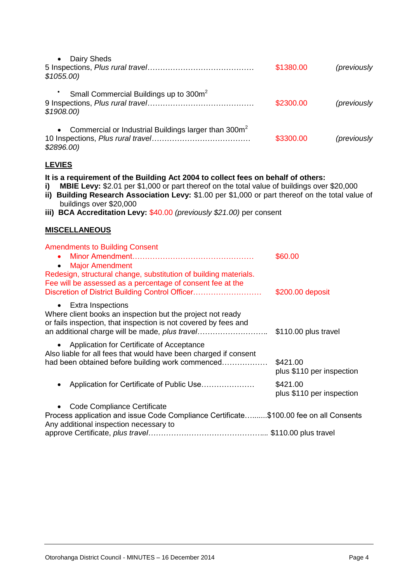| Dairy Sheds<br>\$1055.00                                                                                                                                                                                                                                                                                                                                                                        | \$1380.00                             | (previously |
|-------------------------------------------------------------------------------------------------------------------------------------------------------------------------------------------------------------------------------------------------------------------------------------------------------------------------------------------------------------------------------------------------|---------------------------------------|-------------|
| Small Commercial Buildings up to 300m <sup>2</sup><br>\$1908.00                                                                                                                                                                                                                                                                                                                                 | \$2300.00                             | (previously |
| Commercial or Industrial Buildings larger than 300m <sup>2</sup><br>\$2896.00)                                                                                                                                                                                                                                                                                                                  | \$3300.00                             | (previously |
| <b>LEVIES</b>                                                                                                                                                                                                                                                                                                                                                                                   |                                       |             |
| It is a requirement of the Building Act 2004 to collect fees on behalf of others:<br>MBIE Levy: \$2.01 per \$1,000 or part thereof on the total value of buildings over \$20,000<br>i)<br>ii) Building Research Association Levy: \$1.00 per \$1,000 or part thereof on the total value of<br>buildings over \$20,000<br>iii) BCA Accreditation Levy: $$40.00$ (previously \$21.00) per consent |                                       |             |
| <b>MISCELLANEOUS</b>                                                                                                                                                                                                                                                                                                                                                                            |                                       |             |
| <b>Amendments to Building Consent</b><br><b>Major Amendment</b><br>$\bullet$<br>Redesign, structural change, substitution of building materials.<br>Fee will be assessed as a percentage of consent fee at the<br>Discretion of District Building Control Officer                                                                                                                               | \$60.00<br>\$200.00 deposit           |             |
| <b>Extra Inspections</b><br>$\bullet$<br>Where client books an inspection but the project not ready<br>or fails inspection, that inspection is not covered by fees and                                                                                                                                                                                                                          |                                       |             |
| Application for Certificate of Acceptance<br>Also liable for all fees that would have been charged if consent<br>had been obtained before building work commenced                                                                                                                                                                                                                               | \$421.00<br>plus \$110 per inspection |             |
| Application for Certificate of Public Use                                                                                                                                                                                                                                                                                                                                                       | \$421.00<br>plus \$110 per inspection |             |
| Code Compliance Certificate<br>Process application and issue Code Compliance Certificate\$100.00 fee on all Consents<br>Any additional inspection necessary to                                                                                                                                                                                                                                  |                                       |             |
|                                                                                                                                                                                                                                                                                                                                                                                                 |                                       |             |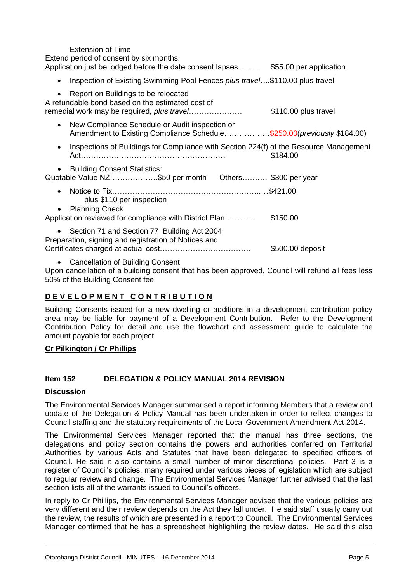| Extension of Time<br>Extend period of consent by six months.<br>Application just be lodged before the date consent lapses \$55.00 per application |                      |
|---------------------------------------------------------------------------------------------------------------------------------------------------|----------------------|
| Inspection of Existing Swimming Pool Fences <i>plus travel</i> .\$110.00 plus travel<br>$\bullet$                                                 |                      |
| Report on Buildings to be relocated<br>$\bullet$<br>A refundable bond based on the estimated cost of                                              | \$110.00 plus travel |
| New Compliance Schedule or Audit inspection or<br>$\bullet$<br>Amendment to Existing Compliance Schedule\$250.00( <i>previously</i> \$184.00)     |                      |
| Inspections of Buildings for Compliance with Section 224(f) of the Resource Management<br>$\bullet$                                               | \$184.00             |
| <b>Building Consent Statistics:</b><br>$\bullet$<br>Quotable Value NZ\$50 per month                               Others \$300 per year           |                      |
| $\bullet$<br>plus \$110 per inspection<br><b>Planning Check</b><br>$\bullet$                                                                      |                      |
| Application reviewed for compliance with District Plan                                                                                            | \$150.00             |
| Section 71 and Section 77 Building Act 2004<br>$\bullet$<br>Preparation, signing and registration of Notices and                                  | \$500.00 deposit     |

Cancellation of Building Consent

Upon cancellation of a building consent that has been approved, Council will refund all fees less 50% of the Building Consent fee.

# **D E V E L O P M E N T C O N T R I B U T I O N**

Building Consents issued for a new dwelling or additions in a development contribution policy area may be liable for payment of a Development Contribution. Refer to the Development Contribution Policy for detail and use the flowchart and assessment guide to calculate the amount payable for each project.

# **Cr Pilkington / Cr Phillips**

# **Item 152 DELEGATION & POLICY MANUAL 2014 REVISION**

# **Discussion**

The Environmental Services Manager summarised a report informing Members that a review and update of the Delegation & Policy Manual has been undertaken in order to reflect changes to Council staffing and the statutory requirements of the Local Government Amendment Act 2014.

The Environmental Services Manager reported that the manual has three sections, the delegations and policy section contains the powers and authorities conferred on Territorial Authorities by various Acts and Statutes that have been delegated to specified officers of Council. He said it also contains a small number of minor discretional policies. Part 3 is a register of Council's policies, many required under various pieces of legislation which are subject to regular review and change. The Environmental Services Manager further advised that the last section lists all of the warrants issued to Council's officers.

In reply to Cr Phillips, the Environmental Services Manager advised that the various policies are very different and their review depends on the Act they fall under. He said staff usually carry out the review, the results of which are presented in a report to Council. The Environmental Services Manager confirmed that he has a spreadsheet highlighting the review dates. He said this also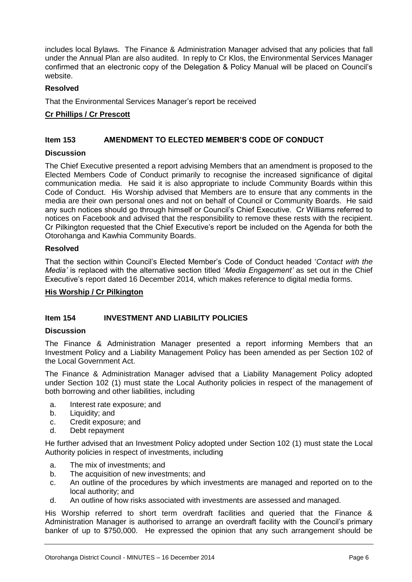includes local Bylaws. The Finance & Administration Manager advised that any policies that fall under the Annual Plan are also audited. In reply to Cr Klos, the Environmental Services Manager confirmed that an electronic copy of the Delegation & Policy Manual will be placed on Council's website.

# **Resolved**

That the Environmental Services Manager's report be received

# **Cr Phillips / Cr Prescott**

# **Item 153 AMENDMENT TO ELECTED MEMBER'S CODE OF CONDUCT**

# **Discussion**

The Chief Executive presented a report advising Members that an amendment is proposed to the Elected Members Code of Conduct primarily to recognise the increased significance of digital communication media. He said it is also appropriate to include Community Boards within this Code of Conduct. His Worship advised that Members are to ensure that any comments in the media are their own personal ones and not on behalf of Council or Community Boards. He said any such notices should go through himself or Council's Chief Executive. Cr Williams referred to notices on Facebook and advised that the responsibility to remove these rests with the recipient. Cr Pilkington requested that the Chief Executive's report be included on the Agenda for both the Otorohanga and Kawhia Community Boards.

# **Resolved**

That the section within Council's Elected Member's Code of Conduct headed '*Contact with the Media'* is replaced with the alternative section titled '*Media Engagement'* as set out in the Chief Executive's report dated 16 December 2014, which makes reference to digital media forms.

#### **His Worship / Cr Pilkington**

# **Item 154 INVESTMENT AND LIABILITY POLICIES**

#### **Discussion**

The Finance & Administration Manager presented a report informing Members that an Investment Policy and a Liability Management Policy has been amended as per Section 102 of the Local Government Act.

The Finance & Administration Manager advised that a Liability Management Policy adopted under Section 102 (1) must state the Local Authority policies in respect of the management of both borrowing and other liabilities, including

- a. Interest rate exposure; and
- b. Liquidity: and
- c. Credit exposure; and
- d. Debt repayment

He further advised that an Investment Policy adopted under Section 102 (1) must state the Local Authority policies in respect of investments, including

- a. The mix of investments; and
- b. The acquisition of new investments; and
- c. An outline of the procedures by which investments are managed and reported on to the local authority; and
- d. An outline of how risks associated with investments are assessed and managed.

His Worship referred to short term overdraft facilities and queried that the Finance & Administration Manager is authorised to arrange an overdraft facility with the Council's primary banker of up to \$750,000. He expressed the opinion that any such arrangement should be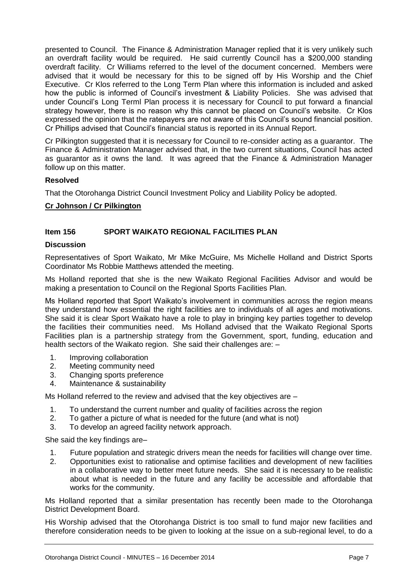presented to Council. The Finance & Administration Manager replied that it is very unlikely such an overdraft facility would be required. He said currently Council has a \$200,000 standing overdraft facility. Cr Williams referred to the level of the document concerned. Members were advised that it would be necessary for this to be signed off by His Worship and the Chief Executive. Cr Klos referred to the Long Term Plan where this information is included and asked how the public is informed of Council's investment & Liability Policies. She was advised that under Council's Long Terml Plan process it is necessary for Council to put forward a financial strategy however, there is no reason why this cannot be placed on Council's website. Cr Klos expressed the opinion that the ratepayers are not aware of this Council's sound financial position. Cr Phillips advised that Council's financial status is reported in its Annual Report.

Cr Pilkington suggested that it is necessary for Council to re-consider acting as a guarantor. The Finance & Administration Manager advised that, in the two current situations, Council has acted as guarantor as it owns the land. It was agreed that the Finance & Administration Manager follow up on this matter.

# **Resolved**

That the Otorohanga District Council Investment Policy and Liability Policy be adopted.

# **Cr Johnson / Cr Pilkington**

# **Item 156 SPORT WAIKATO REGIONAL FACILITIES PLAN**

#### **Discussion**

Representatives of Sport Waikato, Mr Mike McGuire, Ms Michelle Holland and District Sports Coordinator Ms Robbie Matthews attended the meeting.

Ms Holland reported that she is the new Waikato Regional Facilities Advisor and would be making a presentation to Council on the Regional Sports Facilities Plan.

Ms Holland reported that Sport Waikato's involvement in communities across the region means they understand how essential the right facilities are to individuals of all ages and motivations. She said it is clear Sport Waikato have a role to play in bringing key parties together to develop the facilities their communities need. Ms Holland advised that the Waikato Regional Sports Facilities plan is a partnership strategy from the Government, sport, funding, education and health sectors of the Waikato region. She said their challenges are: -

- 1. Improving collaboration
- 2. Meeting community need
- 3. Changing sports preference
- 4. Maintenance & sustainability

Ms Holland referred to the review and advised that the key objectives are –

- 1. To understand the current number and quality of facilities across the region
- 2. To gather a picture of what is needed for the future (and what is not)
- 3. To develop an agreed facility network approach.

She said the key findings are–

- 1. Future population and strategic drivers mean the needs for facilities will change over time.
- 2. Opportunities exist to rationalise and optimise facilities and development of new facilities in a collaborative way to better meet future needs. She said it is necessary to be realistic about what is needed in the future and any facility be accessible and affordable that works for the community.

Ms Holland reported that a similar presentation has recently been made to the Otorohanga District Development Board.

His Worship advised that the Otorohanga District is too small to fund major new facilities and therefore consideration needs to be given to looking at the issue on a sub-regional level, to do a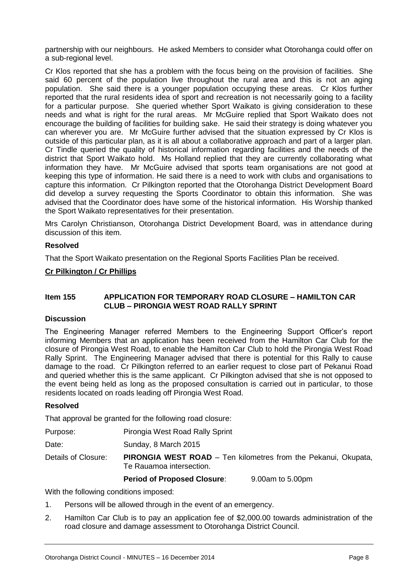partnership with our neighbours. He asked Members to consider what Otorohanga could offer on a sub-regional level.

Cr Klos reported that she has a problem with the focus being on the provision of facilities. She said 60 percent of the population live throughout the rural area and this is not an aging population. She said there is a younger population occupying these areas. Cr Klos further reported that the rural residents idea of sport and recreation is not necessarily going to a facility for a particular purpose. She queried whether Sport Waikato is giving consideration to these needs and what is right for the rural areas. Mr McGuire replied that Sport Waikato does not encourage the building of facilities for building sake. He said their strategy is doing whatever you can wherever you are. Mr McGuire further advised that the situation expressed by Cr Klos is outside of this particular plan, as it is all about a collaborative approach and part of a larger plan. Cr Tindle queried the quality of historical information regarding facilities and the needs of the district that Sport Waikato hold. Ms Holland replied that they are currently collaborating what information they have. Mr McGuire advised that sports team organisations are not good at keeping this type of information. He said there is a need to work with clubs and organisations to capture this information. Cr Pilkington reported that the Otorohanga District Development Board did develop a survey requesting the Sports Coordinator to obtain this information. She was advised that the Coordinator does have some of the historical information. His Worship thanked the Sport Waikato representatives for their presentation.

Mrs Carolyn Christianson, Otorohanga District Development Board, was in attendance during discussion of this item.

#### **Resolved**

That the Sport Waikato presentation on the Regional Sports Facilities Plan be received.

#### **Cr Pilkington / Cr Phillips**

#### **Item 155 APPLICATION FOR TEMPORARY ROAD CLOSURE – HAMILTON CAR CLUB – PIRONGIA WEST ROAD RALLY SPRINT**

#### **Discussion**

The Engineering Manager referred Members to the Engineering Support Officer's report informing Members that an application has been received from the Hamilton Car Club for the closure of Pirongia West Road, to enable the Hamilton Car Club to hold the Pirongia West Road Rally Sprint. The Engineering Manager advised that there is potential for this Rally to cause damage to the road. Cr Pilkington referred to an earlier request to close part of Pekanui Road and queried whether this is the same applicant. Cr Pilkington advised that she is not opposed to the event being held as long as the proposed consultation is carried out in particular, to those residents located on roads leading off Pirongia West Road.

#### **Resolved**

That approval be granted for the following road closure:

| Purpose: | Pirongia West Road Rally Sprint |  |
|----------|---------------------------------|--|
|          |                                 |  |

Date: Sunday, 8 March 2015

Details of Closure: **PIRONGIA WEST ROAD** – Ten kilometres from the Pekanui, Okupata, Te Rauamoa intersection.

#### **Period of Proposed Closure**: 9.00am to 5.00pm

With the following conditions imposed:

- 1. Persons will be allowed through in the event of an emergency.
- 2. Hamilton Car Club is to pay an application fee of \$2,000.00 towards administration of the road closure and damage assessment to Otorohanga District Council.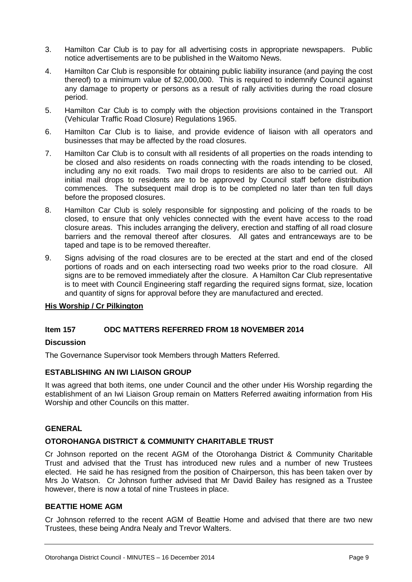- 3. Hamilton Car Club is to pay for all advertising costs in appropriate newspapers. Public notice advertisements are to be published in the Waitomo News.
- 4. Hamilton Car Club is responsible for obtaining public liability insurance (and paying the cost thereof) to a minimum value of \$2,000,000. This is required to indemnify Council against any damage to property or persons as a result of rally activities during the road closure period.
- 5. Hamilton Car Club is to comply with the objection provisions contained in the Transport (Vehicular Traffic Road Closure) Regulations 1965.
- 6. Hamilton Car Club is to liaise, and provide evidence of liaison with all operators and businesses that may be affected by the road closures.
- 7. Hamilton Car Club is to consult with all residents of all properties on the roads intending to be closed and also residents on roads connecting with the roads intending to be closed, including any no exit roads. Two mail drops to residents are also to be carried out. All initial mail drops to residents are to be approved by Council staff before distribution commences. The subsequent mail drop is to be completed no later than ten full days before the proposed closures.
- 8. Hamilton Car Club is solely responsible for signposting and policing of the roads to be closed, to ensure that only vehicles connected with the event have access to the road closure areas. This includes arranging the delivery, erection and staffing of all road closure barriers and the removal thereof after closures. All gates and entranceways are to be taped and tape is to be removed thereafter.
- 9. Signs advising of the road closures are to be erected at the start and end of the closed portions of roads and on each intersecting road two weeks prior to the road closure. All signs are to be removed immediately after the closure. A Hamilton Car Club representative is to meet with Council Engineering staff regarding the required signs format, size, location and quantity of signs for approval before they are manufactured and erected.

# **His Worship / Cr Pilkington**

# **Item 157 ODC MATTERS REFERRED FROM 18 NOVEMBER 2014**

#### **Discussion**

The Governance Supervisor took Members through Matters Referred.

#### **ESTABLISHING AN IWI LIAISON GROUP**

It was agreed that both items, one under Council and the other under His Worship regarding the establishment of an Iwi Liaison Group remain on Matters Referred awaiting information from His Worship and other Councils on this matter.

# **GENERAL**

#### **OTOROHANGA DISTRICT & COMMUNITY CHARITABLE TRUST**

Cr Johnson reported on the recent AGM of the Otorohanga District & Community Charitable Trust and advised that the Trust has introduced new rules and a number of new Trustees elected. He said he has resigned from the position of Chairperson, this has been taken over by Mrs Jo Watson. Cr Johnson further advised that Mr David Bailey has resigned as a Trustee however, there is now a total of nine Trustees in place.

#### **BEATTIE HOME AGM**

Cr Johnson referred to the recent AGM of Beattie Home and advised that there are two new Trustees, these being Andra Nealy and Trevor Walters.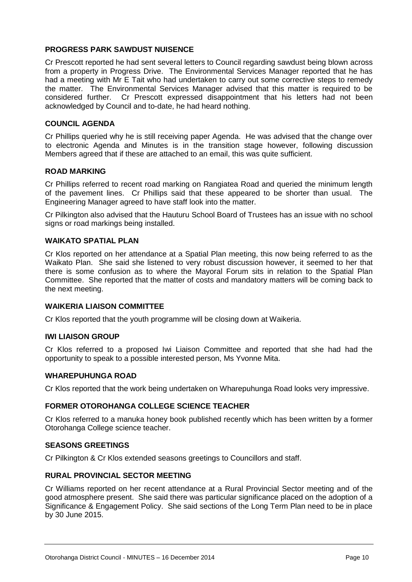# **PROGRESS PARK SAWDUST NUISENCE**

Cr Prescott reported he had sent several letters to Council regarding sawdust being blown across from a property in Progress Drive. The Environmental Services Manager reported that he has had a meeting with Mr E Tait who had undertaken to carry out some corrective steps to remedy the matter. The Environmental Services Manager advised that this matter is required to be considered further. Cr Prescott expressed disappointment that his letters had not been acknowledged by Council and to-date, he had heard nothing.

# **COUNCIL AGENDA**

Cr Phillips queried why he is still receiving paper Agenda. He was advised that the change over to electronic Agenda and Minutes is in the transition stage however, following discussion Members agreed that if these are attached to an email, this was quite sufficient.

# **ROAD MARKING**

Cr Phillips referred to recent road marking on Rangiatea Road and queried the minimum length of the pavement lines. Cr Phillips said that these appeared to be shorter than usual. The Engineering Manager agreed to have staff look into the matter.

Cr Pilkington also advised that the Hauturu School Board of Trustees has an issue with no school signs or road markings being installed.

# **WAIKATO SPATIAL PLAN**

Cr Klos reported on her attendance at a Spatial Plan meeting, this now being referred to as the Waikato Plan. She said she listened to very robust discussion however, it seemed to her that there is some confusion as to where the Mayoral Forum sits in relation to the Spatial Plan Committee. She reported that the matter of costs and mandatory matters will be coming back to the next meeting.

# **WAIKERIA LIAISON COMMITTEE**

Cr Klos reported that the youth programme will be closing down at Waikeria.

# **IWI LIAISON GROUP**

Cr Klos referred to a proposed Iwi Liaison Committee and reported that she had had the opportunity to speak to a possible interested person, Ms Yvonne Mita.

#### **WHAREPUHUNGA ROAD**

Cr Klos reported that the work being undertaken on Wharepuhunga Road looks very impressive.

# **FORMER OTOROHANGA COLLEGE SCIENCE TEACHER**

Cr Klos referred to a manuka honey book published recently which has been written by a former Otorohanga College science teacher.

#### **SEASONS GREETINGS**

Cr Pilkington & Cr Klos extended seasons greetings to Councillors and staff.

#### **RURAL PROVINCIAL SECTOR MEETING**

Cr Williams reported on her recent attendance at a Rural Provincial Sector meeting and of the good atmosphere present. She said there was particular significance placed on the adoption of a Significance & Engagement Policy. She said sections of the Long Term Plan need to be in place by 30 June 2015.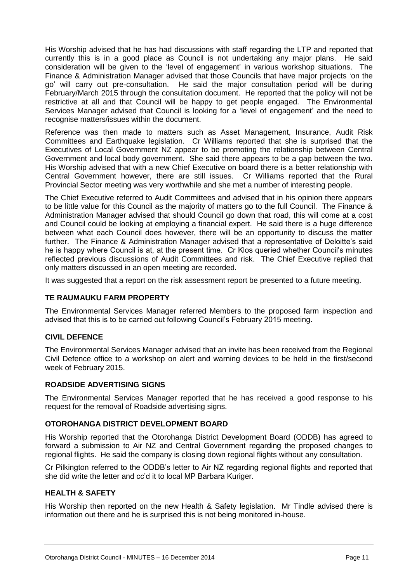His Worship advised that he has had discussions with staff regarding the LTP and reported that currently this is in a good place as Council is not undertaking any major plans. He said consideration will be given to the 'level of engagement' in various workshop situations. The Finance & Administration Manager advised that those Councils that have major projects 'on the go' will carry out pre-consultation. He said the major consultation period will be during February/March 2015 through the consultation document. He reported that the policy will not be restrictive at all and that Council will be happy to get people engaged. The Environmental Services Manager advised that Council is looking for a 'level of engagement' and the need to recognise matters/issues within the document.

Reference was then made to matters such as Asset Management, Insurance, Audit Risk Committees and Earthquake legislation. Cr Williams reported that she is surprised that the Executives of Local Government NZ appear to be promoting the relationship between Central Government and local body government. She said there appears to be a gap between the two. His Worship advised that with a new Chief Executive on board there is a better relationship with Central Government however, there are still issues. Cr Williams reported that the Rural Provincial Sector meeting was very worthwhile and she met a number of interesting people.

The Chief Executive referred to Audit Committees and advised that in his opinion there appears to be little value for this Council as the majority of matters go to the full Council. The Finance & Administration Manager advised that should Council go down that road, this will come at a cost and Council could be looking at employing a financial expert. He said there is a huge difference between what each Council does however, there will be an opportunity to discuss the matter further. The Finance & Administration Manager advised that a representative of Deloitte's said he is happy where Council is at, at the present time. Cr Klos queried whether Council's minutes reflected previous discussions of Audit Committees and risk. The Chief Executive replied that only matters discussed in an open meeting are recorded.

It was suggested that a report on the risk assessment report be presented to a future meeting.

# **TE RAUMAUKU FARM PROPERTY**

The Environmental Services Manager referred Members to the proposed farm inspection and advised that this is to be carried out following Council's February 2015 meeting.

# **CIVIL DEFENCE**

The Environmental Services Manager advised that an invite has been received from the Regional Civil Defence office to a workshop on alert and warning devices to be held in the first/second week of February 2015.

# **ROADSIDE ADVERTISING SIGNS**

The Environmental Services Manager reported that he has received a good response to his request for the removal of Roadside advertising signs.

# **OTOROHANGA DISTRICT DEVELOPMENT BOARD**

His Worship reported that the Otorohanga District Development Board (ODDB) has agreed to forward a submission to Air NZ and Central Government regarding the proposed changes to regional flights. He said the company is closing down regional flights without any consultation.

Cr Pilkington referred to the ODDB's letter to Air NZ regarding regional flights and reported that she did write the letter and cc'd it to local MP Barbara Kuriger.

# **HEALTH & SAFETY**

His Worship then reported on the new Health & Safety legislation. Mr Tindle advised there is information out there and he is surprised this is not being monitored in-house.